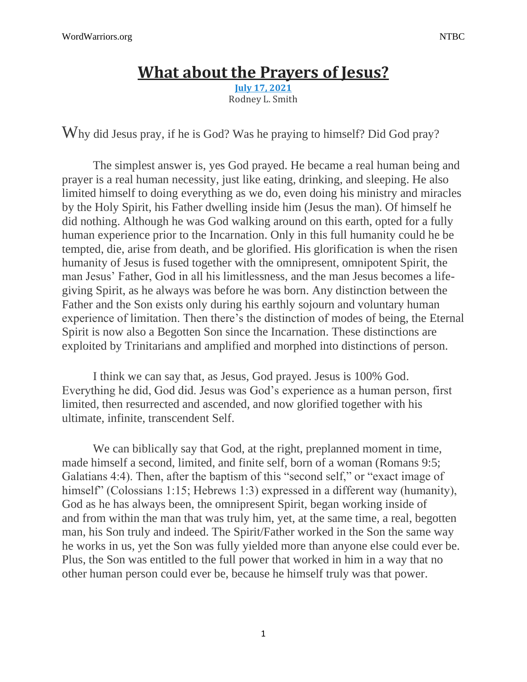## **What about the [Prayers](https://discipleinthelight.wordpress.com/2021/07/17/what-about-the-prayers-of-jesus/) of Jesus?**

**July 17, [2021](https://discipleinthelight.wordpress.com/2021/07/17/what-about-the-prayers-of-jesus/)** Rodney L. Smith

Why did Jesus pray, if he is God? Was he praying to himself? Did God pray?

The simplest answer is, yes God prayed. He became a real human being and prayer is a real human necessity, just like eating, drinking, and sleeping. He also limited himself to doing everything as we do, even doing his ministry and miracles by the Holy Spirit, his Father dwelling inside him (Jesus the man). Of himself he did nothing. Although he was God walking around on this earth, opted for a fully human experience prior to the Incarnation. Only in this full humanity could he be tempted, die, arise from death, and be glorified. His glorification is when the risen humanity of Jesus is fused together with the omnipresent, omnipotent Spirit, the man Jesus' Father, God in all his limitlessness, and the man Jesus becomes a lifegiving Spirit, as he always was before he was born. Any distinction between the Father and the Son exists only during his earthly sojourn and voluntary human experience of limitation. Then there's the distinction of modes of being, the Eternal Spirit is now also a Begotten Son since the Incarnation. These distinctions are exploited by Trinitarians and amplified and morphed into distinctions of person.

I think we can say that, as Jesus, God prayed. Jesus is 100% God. Everything he did, God did. Jesus was God's experience as a human person, first limited, then resurrected and ascended, and now glorified together with his ultimate, infinite, transcendent Self.

We can biblically say that God, at the right, preplanned moment in time, made himself a second, limited, and finite self, born of a woman (Romans 9:5; Galatians 4:4). Then, after the baptism of this "second self," or "exact image of himself" (Colossians 1:15; Hebrews 1:3) expressed in a different way (humanity), God as he has always been, the omnipresent Spirit, began working inside of and from within the man that was truly him, yet, at the same time, a real, begotten man, his Son truly and indeed. The Spirit/Father worked in the Son the same way he works in us, yet the Son was fully yielded more than anyone else could ever be. Plus, the Son was entitled to the full power that worked in him in a way that no other human person could ever be, because he himself truly was that power.